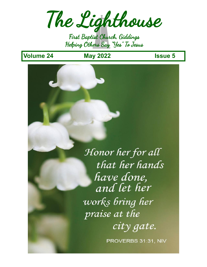The Lighthouse

First Baptist Church, Giddings Helping Others Say "Yes" To Jesus

**Volume 24 May 2022 Issue 5**

Honor her for all that her hands have done, and let her works bring her praise at the city gate.

PROVERBS 31:31, NIV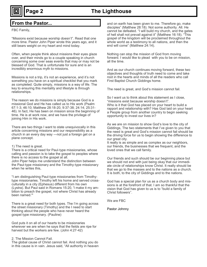# **Page 2 The Lighthouse**

FBC Family,

"Missions exist because worship doesn't". Read that one more time. Pastor John Piper wrote this years ago, and it still bears weight on my heart and mind today.

Often, when people think about missions their eyes glaze over, and their minds go to a couple speaking in church concerning some over seas events that may or may not be blessed of God. That is unfortunate for sure and is an incredibly enormous myth to missions.

Missions is not a trip, it's not an experience, and it's not something you have on a spiritual checklist that you mark as completed. Quite simply, missions is a way of life. The key to ensuring this mentality and lifestyle is through relationships.

The reason we do missions is simply because God is a missional God and He has called us to His work (Psalm 67:1-3; 46:10; Matthew 28:18-20, 9:37-38; 24:14; 25:31- 46). In fact, He has been on mission since the beginning of time. He is at work now, and we have the privilege of joining Him in His work.

There are two things I want to state unequivocally in this article concerning missions and our responsibility as a church in an every day way —not just a foreign get on a plane concept.

### 1) The need is great.

There is a critical need for Paul-type missionaries, whose calling and passion is to take the gospel to peoples where there is no access to the gospel at all.

John Piper helps me understand the distinction between the Paul-type missionary and the Timothy-type missionary when he writes this,

"I am distinguishing Paul-type missionaries from Timothytype missionaries. Timothy left his home and served crossculturally in a city (Ephesus) different from his own (Lystra). But Paul said in Romans 15:20, 'I make it my ambition to preach the gospel, not where Christ has already been named.'"

There is a great need for both types. The I'm going across the street missionary (Timothy) and the I need to start thinking about the people who have never heard the gospel type missionary. (Pauline)

God puts it on all of our hearts to be missionaries wherever we are when he says that the fields are ripe for harvest but the workers are few. (John 4:27-42)

### 2. The Mission Cannot Fail.

The global cause of Christ cannot fail. And nothing you do in this cause is in vain. Jesus said, "All authority in heaven

**From the Pastor...** And **reading the Pastor... and on earth has been given to me. Therefore go, make** disciples" (Matthew 28:18). Not some authority. All. He cannot be defeated. "I will build my church, and the gates of hell shall not prevail against it" (Matthew 16:18). "This gospel of the kingdom will be proclaimed throughout the whole world as a testimony to all nations, and then the end will come" (Matthew 24:14).

> Nothing can stop the mission of God from moving forward. I would like to plead with you to be on mission, all the time.

> And as our church continues moving forward, these two objectives and thoughts of truth need to come and take root in the hearts and minds of all the readers who call First Baptist Church Giddings home.

The need is great, and God's mission cannot fail.

So I want us to think about this statement as I close, "missions exist because worship doesn't". Who is it that God has placed on your heart to build a rapport and relationship with? Has God laid on your heart a People group from another country to begin seeking opportunity to invest our lives in?

As we are on mission to show God's love to the city of Giddings, The two statements that I've given to you that the need is great and God's mission cannot fail should be the driving force for us to begin showing the difference to our great city.

It really is as simple and as complex as our neighbors, our friends, the businesses that we frequent, and the loved ones that we call family.

Our friends and such should be our beginning place but we should not end with just being okay that our immediate circle of relationships know Christ. It really should be that we go to the masses and to the nations as a church. It is both, to the city of Giddings and to the nations.

God has a special plan for us as a church body and missions is at the forefront of that. I am so thankful that the vision that God has given to us is to "build a family of Christ followers".

We are FBC

Pastor Johnny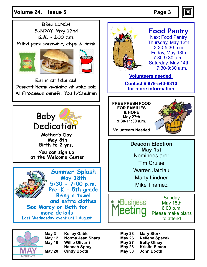Page 3